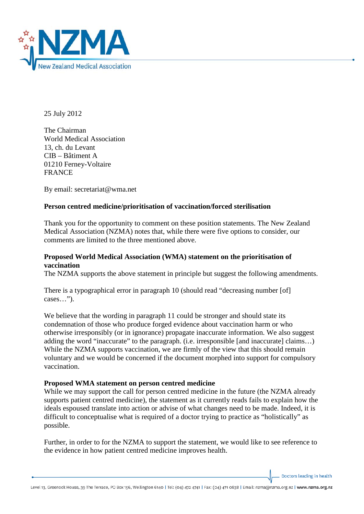

25 July 2012

The Chairman World Medical Association 13, ch. du Levant CIB – Bâtiment A 01210 Ferney-Voltaire FRANCE

By email: secretariat@wma.net

## **Person centred medicine/prioritisation of vaccination/forced sterilisation**

Thank you for the opportunity to comment on these position statements. The New Zealand Medical Association (NZMA) notes that, while there were five options to consider, our comments are limited to the three mentioned above.

## **Proposed World Medical Association (WMA) statement on the prioritisation of vaccination**

The NZMA supports the above statement in principle but suggest the following amendments.

There is a typographical error in paragraph 10 (should read "decreasing number [of] cases…").

We believe that the wording in paragraph 11 could be stronger and should state its condemnation of those who produce forged evidence about vaccination harm or who otherwise irresponsibly (or in ignorance) propagate inaccurate information. We also suggest adding the word "inaccurate" to the paragraph. (i.e. irresponsible [and inaccurate] claims…) While the NZMA supports vaccination, we are firmly of the view that this should remain voluntary and we would be concerned if the document morphed into support for compulsory vaccination.

## **Proposed WMA statement on person centred medicine**

While we may support the call for person centred medicine in the future (the NZMA already supports patient centred medicine), the statement as it currently reads fails to explain how the ideals espoused translate into action or advise of what changes need to be made. Indeed, it is difficult to conceptualise what is required of a doctor trying to practice as "holistically" as possible.

Further, in order to for the NZMA to support the statement, we would like to see reference to the evidence in how patient centred medicine improves health.

Doctors leading in health